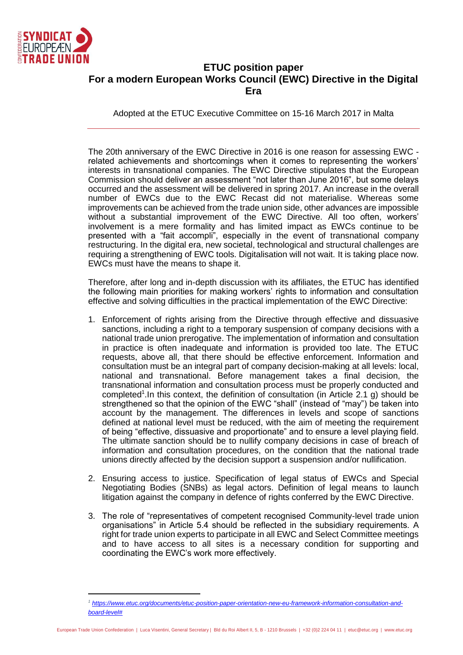

## **ETUC position paper For a modern European Works Council (EWC) Directive in the Digital Era**

Adopted at the ETUC Executive Committee on 15-16 March 2017 in Malta

The 20th anniversary of the EWC Directive in 2016 is one reason for assessing EWC related achievements and shortcomings when it comes to representing the workers' interests in transnational companies. The EWC Directive stipulates that the European Commission should deliver an assessment "not later than June 2016", but some delays occurred and the assessment will be delivered in spring 2017. An increase in the overall number of EWCs due to the EWC Recast did not materialise. Whereas some improvements can be achieved from the trade union side, other advances are impossible without a substantial improvement of the EWC Directive. All too often, workers' involvement is a mere formality and has limited impact as EWCs continue to be presented with a "fait accompli", especially in the event of transnational company restructuring. In the digital era, new societal, technological and structural challenges are requiring a strengthening of EWC tools. Digitalisation will not wait. It is taking place now. EWCs must have the means to shape it.

Therefore, after long and in-depth discussion with its affiliates, the ETUC has identified the following main priorities for making workers' rights to information and consultation effective and solving difficulties in the practical implementation of the EWC Directive:

- 1. Enforcement of rights arising from the Directive through effective and dissuasive sanctions, including a right to a temporary suspension of company decisions with a national trade union prerogative. The implementation of information and consultation in practice is often inadequate and information is provided too late. The ETUC requests, above all, that there should be effective enforcement. Information and consultation must be an integral part of company decision-making at all levels: local, national and transnational. Before management takes a final decision, the transnational information and consultation process must be properly conducted and completed<sup>1</sup>. In this context, the definition of consultation (in Article 2.1 g) should be strengthened so that the opinion of the EWC "shall" (instead of "may") be taken into account by the management. The differences in levels and scope of sanctions defined at national level must be reduced, with the aim of meeting the requirement of being "effective, dissuasive and proportionate" and to ensure a level playing field. The ultimate sanction should be to nullify company decisions in case of breach of information and consultation procedures, on the condition that the national trade unions directly affected by the decision support a suspension and/or nullification.
- 2. Ensuring access to justice. Specification of legal status of EWCs and Special Negotiating Bodies (SNBs) as legal actors. Definition of legal means to launch litigation against the company in defence of rights conferred by the EWC Directive.
- 3. The role of "representatives of competent recognised Community-level trade union organisations" in Article 5.4 should be reflected in the subsidiary requirements. A right for trade union experts to participate in all EWC and Select Committee meetings and to have access to all sites is a necessary condition for supporting and coordinating the EWC's work more effectively.

*<sup>1</sup> [https://www.etuc.org/documents/etuc-position-paper-orientation-new-eu-framework-information-consultation-and](https://www.etuc.org/documents/etuc-position-paper-orientation-new-eu-framework-information-consultation-and-board-level)[board-level#](https://www.etuc.org/documents/etuc-position-paper-orientation-new-eu-framework-information-consultation-and-board-level)*